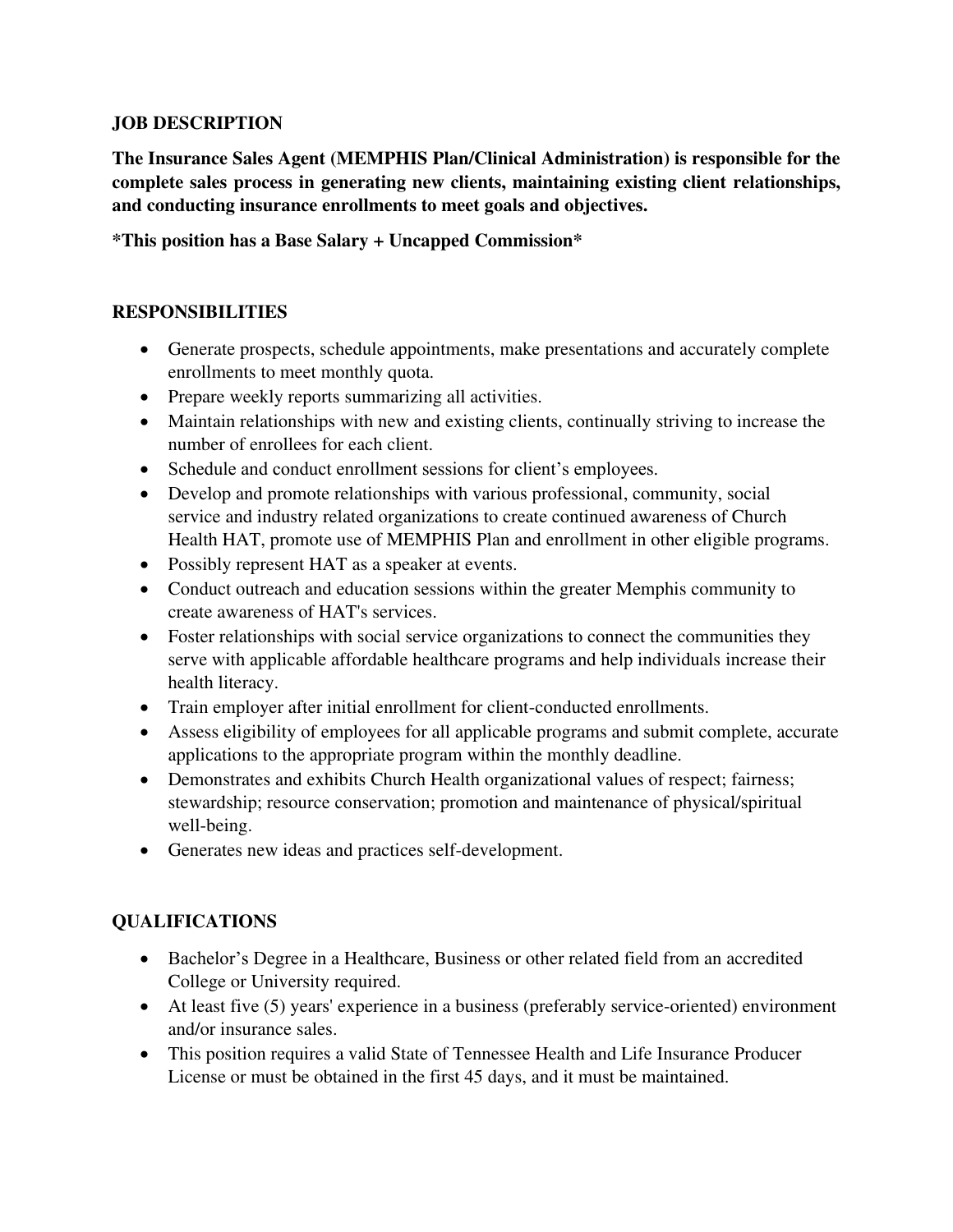## **JOB DESCRIPTION**

**The Insurance Sales Agent (MEMPHIS Plan/Clinical Administration) is responsible for the complete sales process in generating new clients, maintaining existing client relationships, and conducting insurance enrollments to meet goals and objectives.** 

**\*This position has a Base Salary + Uncapped Commission\*** 

## **RESPONSIBILITIES**

- Generate prospects, schedule appointments, make presentations and accurately complete enrollments to meet monthly quota.
- Prepare weekly reports summarizing all activities.
- Maintain relationships with new and existing clients, continually striving to increase the number of enrollees for each client.
- Schedule and conduct enrollment sessions for client's employees.
- Develop and promote relationships with various professional, community, social service and industry related organizations to create continued awareness of Church Health HAT, promote use of MEMPHIS Plan and enrollment in other eligible programs.
- Possibly represent HAT as a speaker at events.
- Conduct outreach and education sessions within the greater Memphis community to create awareness of HAT's services.
- Foster relationships with social service organizations to connect the communities they serve with applicable affordable healthcare programs and help individuals increase their health literacy.
- Train employer after initial enrollment for client-conducted enrollments.
- Assess eligibility of employees for all applicable programs and submit complete, accurate applications to the appropriate program within the monthly deadline.
- Demonstrates and exhibits Church Health organizational values of respect; fairness; stewardship; resource conservation; promotion and maintenance of physical/spiritual well-being.
- Generates new ideas and practices self-development.

## **QUALIFICATIONS**

- Bachelor's Degree in a Healthcare, Business or other related field from an accredited College or University required.
- At least five (5) years' experience in a business (preferably service-oriented) environment and/or insurance sales.
- This position requires a valid State of Tennessee Health and Life Insurance Producer License or must be obtained in the first 45 days, and it must be maintained.